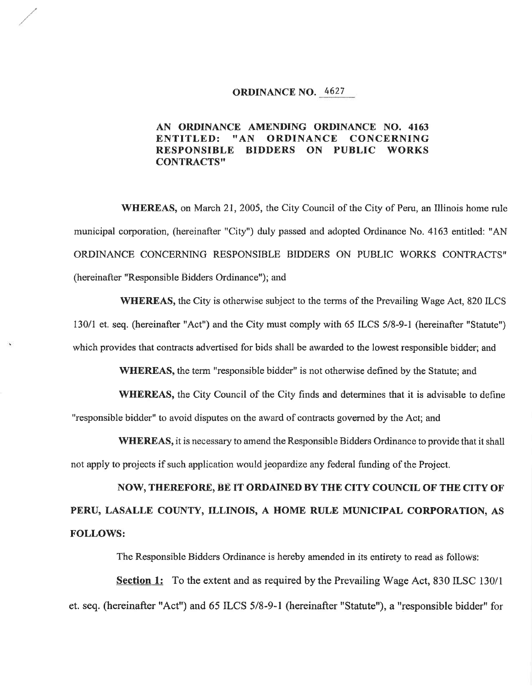## ORDINANCE NO. 4627

## AN ORDINANCE AMENDTNG ORDINANCE NO. 4163 ENTITLED: "AN ORDINANCE CONCERNING RESPONSIBLE BIDDERS ON PUBLIC WORKS **CONTRACTS"**

WHEREAS, on March 21, 2005, the City Council of the City of Peru, an Illinois home rule municipal corporation, (hereinafter "City") duly passed and adopted Ordinance No. 4163 entitled: "AN ORDINANCE CONCERNING RESPONSIBLE BIDDERS ON PUBLIC WORKS CONTRACTS'' (hereinatter "Responsible Bidders Ordinance'); and

WHEREAS, the City is otherwise subject to the terms of the Prevailing Wage Act, 820 ILCS 130/l et. seq. (hereinafter "Act") and the City must comply with 65 ILCS 5/8-9-1 (hereinafter "Statute") which provides that contracts advertised for bids shall be awarded to the lowest responsible bidder; and

WHEREAS, the term "responsible bidder" is not otherwise defined by the Statute; and

**WHEREAS,** the City Council of the City finds and determines that it is advisable to define "responsible bidder" to avoid disputes on the award of contracts governed by the Act; and

WHEREAS, it is necessary to amend the Responsible Bidders Ordinance to provide that it shall not apply to projects if such application would jeopardize any federal funding of the Project.

NOW, THEREFORE, BE IT ORDAINED BY THE CITY COUNCIL OF THE CITY OF PERU, LASALLE COUNTY, ILLINOIS, A HOME RULE MUNICIPAL CORPORATION, AS FOLLOWS:

The Responsible Bidders Ordinance is hereby amended in its entirety to read as follows:

Section 1: To the extent and as required by the Prevailing Wage Act, 830 ILSC 130/1 et. seq. (hereinafter "Act") and 65 ILCS 5/8-9-1 (hereinafter "Statute"), a "responsible bidder" for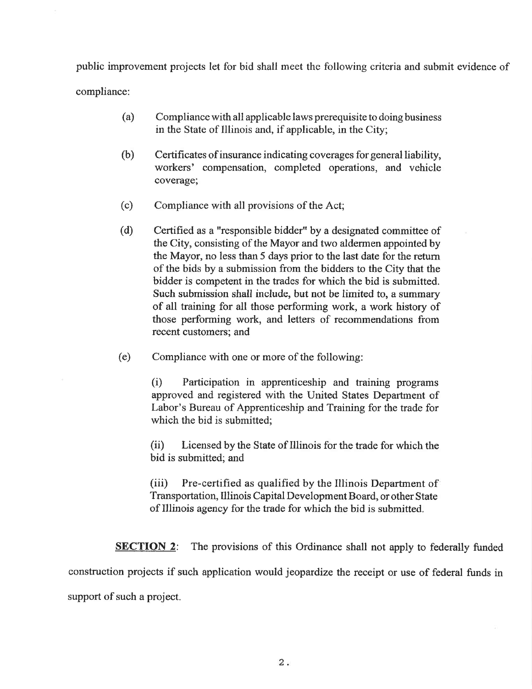public improvement projects let for bid shall meet the following criteria and submit evidence of compliance:

- (a) Compliance with all applicable laws prerequisite to doing business in the State of Illinois and, if applicable, in the City;
- (b) Certificates of insurance indicating coverages for general liability, workers' compensation, completed operations, and vehicle coverage;
- (c) Compliance with all provisions of the Act;
- (d) Certified as a "responsible bidder" by a designated committee of the City, consisting of the Mayor and two aldermen appointed by the Mayor, no less than 5 days prior to the last date for the return of the bids by a submission from the bidders to the City that the bidder is competent in the trades for which the bid is submitted. Such submission shall include, but not be limited to, a summary of all training for all those performing work, a work history of those performing work, and letters of recommendations from recent customers; and
- (e) Compliance with one or more of the following:

(i) Participation in apprenticeship and training programs approved and registered with the United States Department of Labor's Bureau of Apprenticeship and Training for the trade for which the bid is submitted;

(ii) Licensed by the State of Illinois for the trade for which the bid is submitted; and

(iii) Pre-certified as qualified by the Illinois Department of Transportation, Illinois Capital Development Board, or other State of lllinois agency for the trade for which the bid is submitted.

**SECTION 2:** The provisions of this Ordinance shall not apply to federally funded

construction projects if such application would jeopardize the receipt or use of federal funds in support of such a project.